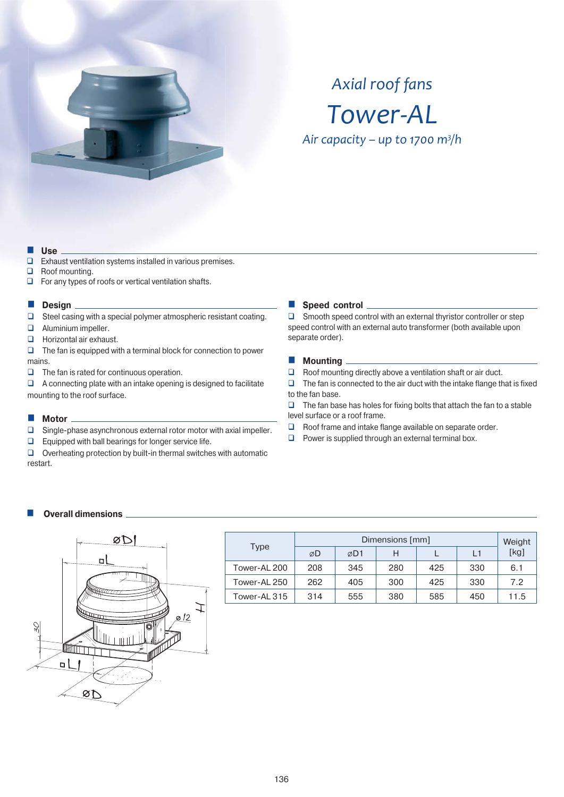

# *Axial roof fans Tower-AL*

*Ȃ͙͘͘͟<sup>3</sup> /h*

#### **Use**

- $\Box$  Exhaust ventilation systems installed in various premises.
- Roof mounting.
- $\Box$  For any types of roofs or vertical ventilation shafts.

#### **Design**

- $\Box$  Steel casing with a special polymer atmospheric resistant coating.
- **Q** Aluminium impeller.
- **Horizontal air exhaust.**
- $\Box$  The fan is equipped with a terminal block for connection to power mains.
- $\Box$  The fan is rated for continuous operation.

 $\Box$  A connecting plate with an intake opening is designed to facilitate mounting to the roof surface.

## **Motor**

- $\Box$  Single-phase asynchronous external rotor motor with axial impeller.
- $\Box$  Equipped with ball bearings for longer service life.

 $\Box$  Overheating protection by built-in thermal switches with automatic restart.

### **Speed control**

□ Smooth speed control with an external thyristor controller or step speed control with an external auto transformer (both available upon separate order).

#### **Mounting**

 $\Box$  Roof mounting directly above a ventilation shaft or air duct.

 $\Box$  The fan is connected to the air duct with the intake flange that is fixed to the fan base.

 $\Box$  The fan base has holes for fixing bolts that attach the fan to a stable level surface or a roof frame.

- $\Box$  Roof frame and intake flange available on separate order.
- $\Box$  Power is supplied through an external terminal box.

## **Overall dimensions**



| <b>Type</b>  |     | Weight |     |     |     |      |
|--------------|-----|--------|-----|-----|-----|------|
|              | ØD  | ⊘D1    | н   |     | L1  | [kg] |
| Tower-AL 200 | 208 | 345    | 280 | 425 | 330 | 6.1  |
| Tower-AL 250 | 262 | 405    | 300 | 425 | 330 | 7.2  |
| Tower-AL 315 | 314 | 555    | 380 | 585 | 450 | 11.5 |